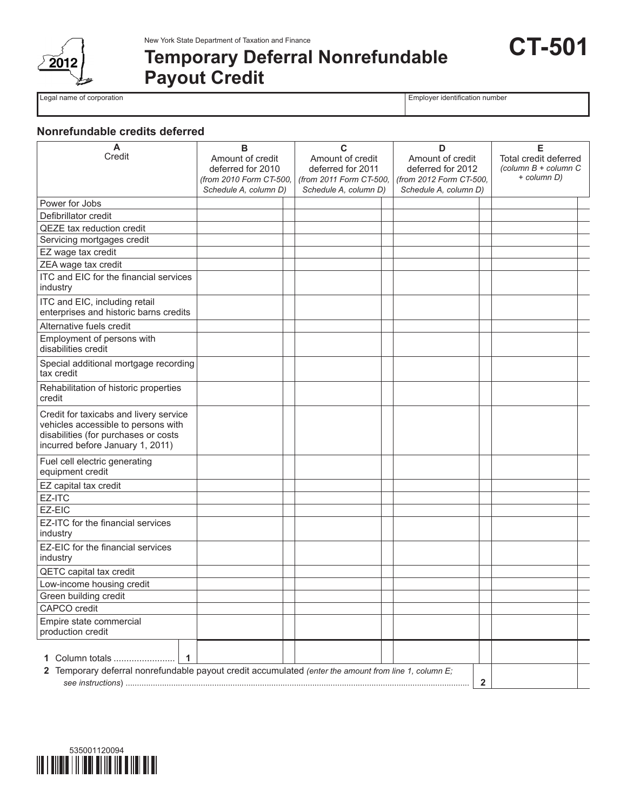

# **Temporary Deferral Nonrefundable Payout Credit**

Legal name of corporation **Employer identification** number

**CT-501**

## **Nonrefundable credits deferred**

| A<br>Credit                                                                                                                                               | в<br>Amount of credit<br>deferred for 2010<br>(from 2010 Form CT-500,<br>Schedule A, column D) | C<br>Amount of credit<br>deferred for 2011<br>(from 2011 Form CT-500,<br>Schedule A, column D) | D<br>Amount of credit<br>deferred for 2012<br>(from 2012 Form CT-500,<br>Schedule A, column D) | Е<br>Total credit deferred<br>(column $B$ + column $C$<br>+ column D) |
|-----------------------------------------------------------------------------------------------------------------------------------------------------------|------------------------------------------------------------------------------------------------|------------------------------------------------------------------------------------------------|------------------------------------------------------------------------------------------------|-----------------------------------------------------------------------|
| Power for Jobs                                                                                                                                            |                                                                                                |                                                                                                |                                                                                                |                                                                       |
| Defibrillator credit                                                                                                                                      |                                                                                                |                                                                                                |                                                                                                |                                                                       |
| <b>QEZE</b> tax reduction credit                                                                                                                          |                                                                                                |                                                                                                |                                                                                                |                                                                       |
| Servicing mortgages credit                                                                                                                                |                                                                                                |                                                                                                |                                                                                                |                                                                       |
| EZ wage tax credit                                                                                                                                        |                                                                                                |                                                                                                |                                                                                                |                                                                       |
| ZEA wage tax credit                                                                                                                                       |                                                                                                |                                                                                                |                                                                                                |                                                                       |
| ITC and EIC for the financial services<br>industry                                                                                                        |                                                                                                |                                                                                                |                                                                                                |                                                                       |
| ITC and EIC, including retail<br>enterprises and historic barns credits                                                                                   |                                                                                                |                                                                                                |                                                                                                |                                                                       |
| Alternative fuels credit                                                                                                                                  |                                                                                                |                                                                                                |                                                                                                |                                                                       |
| Employment of persons with<br>disabilities credit                                                                                                         |                                                                                                |                                                                                                |                                                                                                |                                                                       |
| Special additional mortgage recording<br>tax credit                                                                                                       |                                                                                                |                                                                                                |                                                                                                |                                                                       |
| Rehabilitation of historic properties<br>credit                                                                                                           |                                                                                                |                                                                                                |                                                                                                |                                                                       |
| Credit for taxicabs and livery service<br>vehicles accessible to persons with<br>disabilities (for purchases or costs<br>incurred before January 1, 2011) |                                                                                                |                                                                                                |                                                                                                |                                                                       |
| Fuel cell electric generating<br>equipment credit                                                                                                         |                                                                                                |                                                                                                |                                                                                                |                                                                       |
| EZ capital tax credit                                                                                                                                     |                                                                                                |                                                                                                |                                                                                                |                                                                       |
| EZ-ITC                                                                                                                                                    |                                                                                                |                                                                                                |                                                                                                |                                                                       |
| EZ-EIC                                                                                                                                                    |                                                                                                |                                                                                                |                                                                                                |                                                                       |
| EZ-ITC for the financial services<br>industry                                                                                                             |                                                                                                |                                                                                                |                                                                                                |                                                                       |
| EZ-EIC for the financial services<br>industry                                                                                                             |                                                                                                |                                                                                                |                                                                                                |                                                                       |
| QETC capital tax credit                                                                                                                                   |                                                                                                |                                                                                                |                                                                                                |                                                                       |
| Low-income housing credit                                                                                                                                 |                                                                                                |                                                                                                |                                                                                                |                                                                       |
| Green building credit                                                                                                                                     |                                                                                                |                                                                                                |                                                                                                |                                                                       |
| <b>CAPCO</b> credit                                                                                                                                       |                                                                                                |                                                                                                |                                                                                                |                                                                       |
| Empire state commercial<br>production credit                                                                                                              |                                                                                                |                                                                                                |                                                                                                |                                                                       |
| 1 Column totals<br>$\mathbf 1$<br>2 Temporary deferral nonrefundable payout credit accumulated (enter the amount from line 1, column E;                   |                                                                                                |                                                                                                |                                                                                                |                                                                       |
|                                                                                                                                                           |                                                                                                |                                                                                                | $\mathbf{2}$                                                                                   |                                                                       |